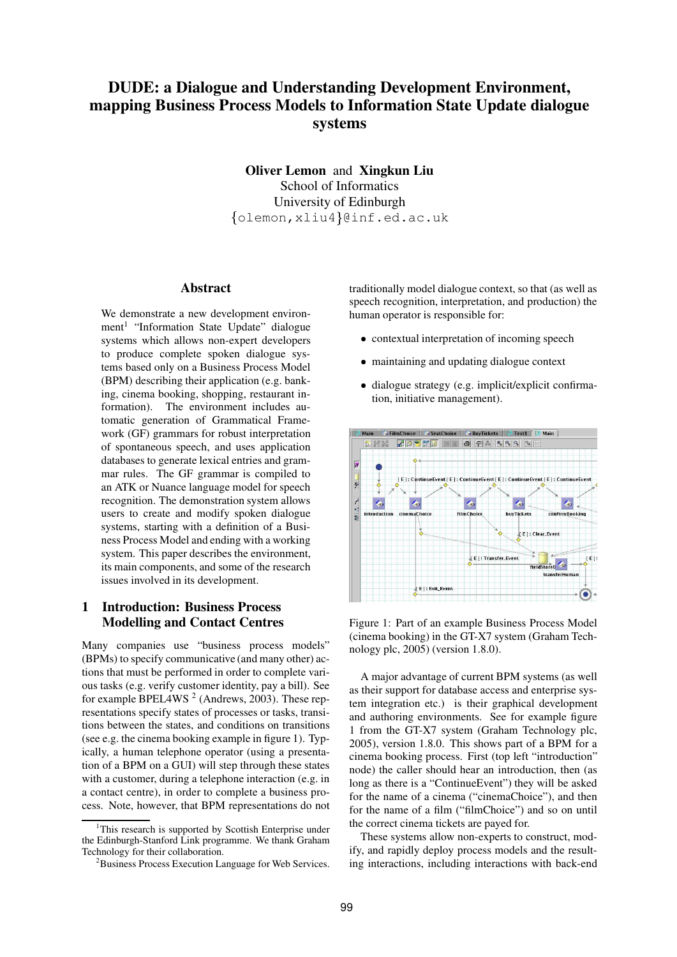# **DUDE: a Dialogue and Understanding Development Environment, mapping Business Process Models to Information State Update dialogue systems**

**Oliver Lemon** and **Xingkun Liu** School of Informatics University of Edinburgh  $\{\circ 1$ emon,xliu4 $\}$ @inf.ed.ac.uk

#### **Abstract**

We demonstrate a new development environment<sup>1</sup> "Information State Update" dialogue systems which allows non-expert developers to produce complete spoken dialogue systems based only on a Business Process Model (BPM) describing their application (e.g. banking, cinema booking, shopping, restaurant information). The environment includes automatic generation of Grammatical Framework (GF) grammars for robust interpretation of spontaneous speech, and uses application databases to generate lexical entries and grammar rules. The GF grammar is compiled to an ATK or Nuance language model for speech recognition. The demonstration system allows users to create and modify spoken dialogue systems, starting with a definition of a Business Process Model and ending with a working system. This paper describes the environment, its main components, and some of the research issues involved in its development.

# **1 Introduction: Business Process Modelling and Contact Centres**

Many companies use "business process models" (BPMs) to specify communicative (and many other) actions that must be performed in order to complete various tasks (e.g. verify customer identity, pay a bill). See for example BPEL4WS<sup>2</sup> (Andrews, 2003). These representations specify states of processes or tasks, transitions between the states, and conditions on transitions (see e.g. the cinema booking example in figure 1). Typically, a human telephone operator (using a presentation of a BPM on a GUI) will step through these states with a customer, during a telephone interaction (e.g. in a contact centre), in order to complete a business process. Note, however, that BPM representations do not traditionally model dialogue context, so that (as well as speech recognition, interpretation, and production) the human operator is responsible for:

- contextual interpretation of incoming speech
- maintaining and updating dialogue context
- dialogue strategy (e.g. implicit/explicit confirmation, initiative management).



Figure 1: Part of an example Business Process Model (cinema booking) in the GT-X7 system (Graham Technology plc, 2005) (version 1.8.0).

A major advantage of current BPM systems (as well as their support for database access and enterprise system integration etc.) is their graphical development and authoring environments. See for example figure 1 from the GT-X7 system (Graham Technology plc, 2005), version 1.8.0. This shows part of a BPM for a cinema booking process. First (top left "introduction" node) the caller should hear an introduction, then (as long as there is a "ContinueEvent") they will be asked for the name of a cinema ("cinemaChoice"), and then for the name of a film ("filmChoice") and so on until the correct cinema tickets are payed for.

These systems allow non-experts to construct, modify, and rapidly deploy process models and the resulting interactions, including interactions with back-end

<sup>&</sup>lt;sup>1</sup>This research is supported by Scottish Enterprise under the Edinburgh-Stanford Link programme. We thank Graham Technology for their collaboration.

<sup>&</sup>lt;sup>2</sup>Business Process Execution Language for Web Services.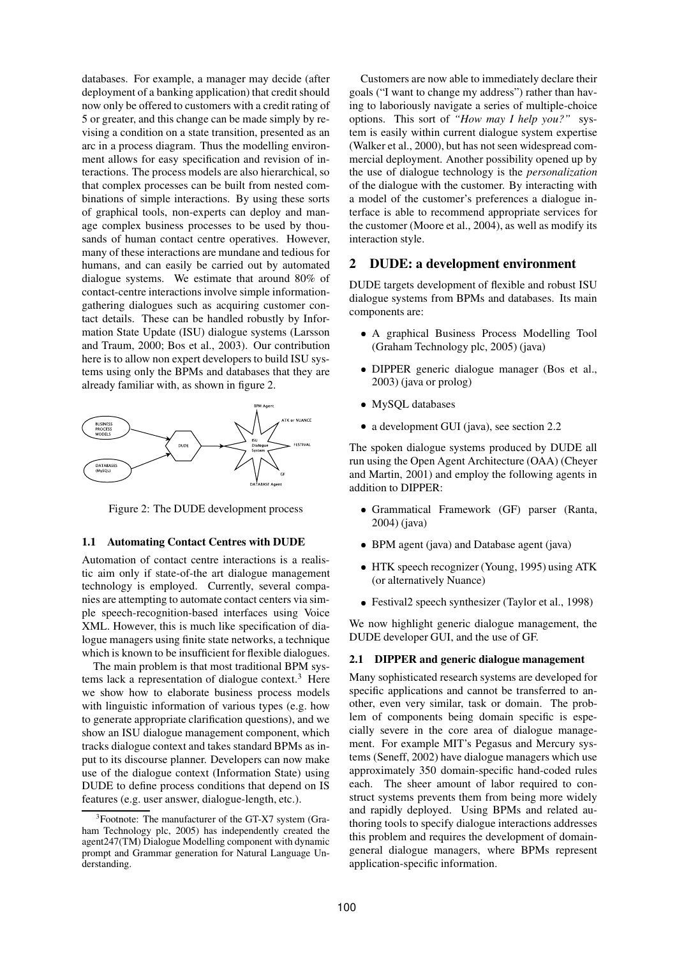databases. For example, a manager may decide (after deployment of a banking application) that credit should now only be offered to customers with a credit rating of 5 or greater, and this change can be made simply by revising a condition on a state transition, presented as an arc in a process diagram. Thus the modelling environment allows for easy specification and revision of interactions. The process models are also hierarchical, so that complex processes can be built from nested combinations of simple interactions. By using these sorts of graphical tools, non-experts can deploy and manage complex business processes to be used by thousands of human contact centre operatives. However, many of these interactions are mundane and tedious for humans, and can easily be carried out by automated dialogue systems. We estimate that around 80% of contact-centre interactions involve simple informationgathering dialogues such as acquiring customer contact details. These can be handled robustly by Information State Update (ISU) dialogue systems (Larsson and Traum, 2000; Bos et al., 2003). Our contribution here is to allow non expert developers to build ISU systems using only the BPMs and databases that they are already familiar with, as shown in figure 2.



Figure 2: The DUDE development process

#### **1.1 Automating Contact Centres with DUDE**

Automation of contact centre interactions is a realistic aim only if state-of-the art dialogue management technology is employed. Currently, several companies are attempting to automate contact centers via simple speech-recognition-based interfaces using Voice XML. However, this is much like specification of dialogue managers using finite state networks, a technique which is known to be insufficient for flexible dialogues.

The main problem is that most traditional BPM systems lack a representation of dialogue context.<sup>3</sup> Here we show how to elaborate business process models with linguistic information of various types (e.g. how to generate appropriate clarification questions), and we show an ISU dialogue management component, which tracks dialogue context and takes standard BPMs as input to its discourse planner. Developers can now make use of the dialogue context (Information State) using DUDE to define process conditions that depend on IS features (e.g. user answer, dialogue-length, etc.).

Customers are now able to immediately declare their goals ("I want to change my address") rather than having to laboriously navigate a series of multiple-choice options. This sort of *"How may I help you?"* system is easily within current dialogue system expertise (Walker et al., 2000), but has not seen widespread commercial deployment. Another possibility opened up by the use of dialogue technology is the *personalization* of the dialogue with the customer. By interacting with a model of the customer's preferences a dialogue interface is able to recommend appropriate services for the customer (Moore et al., 2004), as well as modify its interaction style.

#### **2 DUDE: a development environment**

DUDE targets development of flexible and robust ISU dialogue systems from BPMs and databases. Its main components are:

- A graphical Business Process Modelling Tool (Graham Technology plc, 2005) (java)
- DIPPER generic dialogue manager (Bos et al., 2003) (java or prolog)
- MySQL databases
- a development GUI (java), see section 2.2

The spoken dialogue systems produced by DUDE all run using the Open Agent Architecture (OAA) (Cheyer and Martin, 2001) and employ the following agents in addition to DIPPER:

- Grammatical Framework (GF) parser (Ranta, 2004) (java)
- BPM agent (java) and Database agent (java)
- HTK speech recognizer (Young, 1995) using ATK (or alternatively Nuance)
- Festival2 speech synthesizer (Taylor et al., 1998)

We now highlight generic dialogue management, the DUDE developer GUI, and the use of GF.

### **2.1 DIPPER and generic dialogue management**

Many sophisticated research systems are developed for specific applications and cannot be transferred to another, even very similar, task or domain. The problem of components being domain specific is especially severe in the core area of dialogue management. For example MIT's Pegasus and Mercury systems (Seneff, 2002) have dialogue managers which use approximately 350 domain-specific hand-coded rules each. The sheer amount of labor required to construct systems prevents them from being more widely and rapidly deployed. Using BPMs and related authoring tools to specify dialogue interactions addresses this problem and requires the development of domaingeneral dialogue managers, where BPMs represent application-specific information.

<sup>&</sup>lt;sup>3</sup>Footnote: The manufacturer of the GT-X7 system (Graham Technology plc, 2005) has independently created the agent247(TM) Dialogue Modelling component with dynamic prompt and Grammar generation for Natural Language Understanding.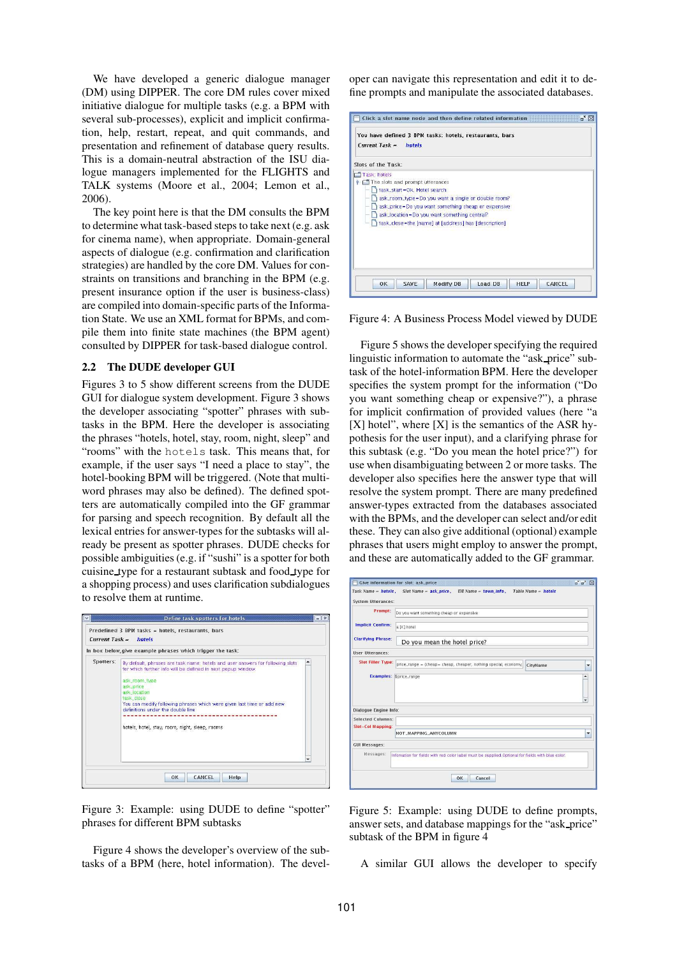We have developed a generic dialogue manager (DM) using DIPPER. The core DM rules cover mixed initiative dialogue for multiple tasks (e.g. a BPM with several sub-processes), explicit and implicit confirmation, help, restart, repeat, and quit commands, and presentation and refinement of database query results. This is a domain-neutral abstraction of the ISU dialogue managers implemented for the FLIGHTS and TALK systems (Moore et al., 2004; Lemon et al., 2006).

The key point here is that the DM consults the BPM to determine what task-based steps to take next (e.g. ask for cinema name), when appropriate. Domain-general aspects of dialogue (e.g. confirmation and clarification strategies) are handled by the core DM. Values for constraints on transitions and branching in the BPM (e.g. present insurance option if the user is business-class) are compiled into domain-specific parts of the Information State. We use an XML format for BPMs, and compile them into finite state machines (the BPM agent) consulted by DIPPER for task-based dialogue control.

### **2.2 The DUDE developer GUI**

Figures 3 to 5 show different screens from the DUDE GUI for dialogue system development. Figure 3 shows the developer associating "spotter" phrases with subtasks in the BPM. Here the developer is associating the phrases "hotels, hotel, stay, room, night, sleep" and "rooms" with the hotels task. This means that, for example, if the user says "I need a place to stay", the hotel-booking BPM will be triggered. (Note that multiword phrases may also be defined). The defined spotters are automatically compiled into the GF grammar for parsing and speech recognition. By default all the lexical entries for answer-types for the subtasks will already be present as spotter phrases. DUDE checks for possible ambiguities (e.g. if "sushi" is a spotter for both cuisine type for a restaurant subtask and food type for a shopping process) and uses clarification subdialogues to resolve them at runtime.

|           | In box below, give example phrases which trigger the task:                                                                                                                                                                                                                                                                                                                  |        |
|-----------|-----------------------------------------------------------------------------------------------------------------------------------------------------------------------------------------------------------------------------------------------------------------------------------------------------------------------------------------------------------------------------|--------|
| Spotters: | By default, phrases are task name: hotels and user answers for following slots<br>for which further info will be defined in next popup window.<br>ask_room_type<br>ask_price<br>ask.location<br>task close<br>You can modify following phrases which were given last time or add new<br>definitions under the double line<br>hotels, hotel, stay, room, night, sleep, rooms | ۰<br>÷ |

Figure 3: Example: using DUDE to define "spotter" phrases for different BPM subtasks

Figure 4 shows the developer's overview of the subtasks of a BPM (here, hotel information). The developer can navigate this representation and edit it to define prompts and manipulate the associated databases.

|                    | You have defined 3 BPM tasks: hotels, restaurants, bars<br>$Current Task =$<br>hotels                                                                                                                                                                                             |  |  |
|--------------------|-----------------------------------------------------------------------------------------------------------------------------------------------------------------------------------------------------------------------------------------------------------------------------------|--|--|
| Slots of the Task: |                                                                                                                                                                                                                                                                                   |  |  |
|                    | The slots and prompt utterances<br>task_start=Ok. Hotel search<br>ask_room_type=Do you want a single or double room?<br>ask_price=Do you want something cheap or expensive<br>ask_location=Do you want something central?<br>task_close=the [name] at [address] has [description] |  |  |
|                    | OK<br><b>SAVE</b><br><b>Modify DB</b><br>Load DB<br><b>HFLP</b><br>CANCEL                                                                                                                                                                                                         |  |  |

Figure 4: A Business Process Model viewed by DUDE

Figure 5 shows the developer specifying the required linguistic information to automate the "ask price" subtask of the hotel-information BPM. Here the developer specifies the system prompt for the information ("Do you want something cheap or expensive?"), a phrase for implicit confirmation of provided values (here "a  $[X]$  hotel", where  $[X]$  is the semantics of the ASR hypothesis for the user input), and a clarifying phrase for this subtask (e.g. "Do you mean the hotel price?") for use when disambiguating between 2 or more tasks. The developer also specifies here the answer type that will resolve the system prompt. There are many predefined answer-types extracted from the databases associated with the BPMs, and the developer can select and/or edit these. They can also give additional (optional) example phrases that users might employ to answer the prompt, and these are automatically added to the GF grammar.

|                                               | ■ ■ 図<br><b>Give information for slot: ask_price</b>                                               |
|-----------------------------------------------|----------------------------------------------------------------------------------------------------|
|                                               | Task Name = hotels, Slot Name = ask_price, DB Name = town_info,<br>Table Name = hotels             |
| <b>System Utterances:</b>                     |                                                                                                    |
| Prompt:                                       | Do you want something cheap or expensive                                                           |
| <b>Implicit Confirm:</b>                      | a DCI hotel                                                                                        |
| <b>Clarifying Phrase:</b>                     | Do you mean the hotel price?                                                                       |
| <b>Hser Hiterances:</b>                       |                                                                                                    |
| <b>Slot Filler Type:</b>                      | price range = (cheap = cheap, cheaper, nothing special, economy,<br>CityName<br>۰                  |
|                                               | Examples: \$price_range<br>۸<br>÷                                                                  |
| Dialogue Engine Info:                         |                                                                                                    |
| <b>Selected Columns:</b><br>Slot-Col Mapping: |                                                                                                    |
|                                               | NOT_MAPPING_ANYCOLUMN<br>۰                                                                         |
| <b>GUI Messages:</b>                          |                                                                                                    |
| Messages:                                     | Information for fields with red color label must be supplied. Optional for fields with blue color. |
|                                               |                                                                                                    |

Figure 5: Example: using DUDE to define prompts, answer sets, and database mappings for the "ask price" subtask of the BPM in figure 4

A similar GUI allows the developer to specify